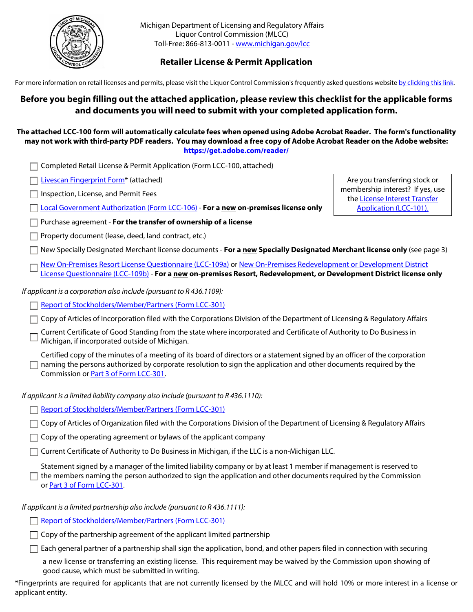

Michigan Department of Licensing and Regulatory Affairs Liquor Control Commission (MLCC) Toll-Free: 866-813-0011 - [www.michigan.gov/lcc](http://www.michigan.gov/lcc)

# **Retailer License & Permit Application**

For more information on retail licenses and permits, please visit the Liquor Control Commission's frequently asked questions website [by clicking this link](http://www.michigan.gov/lara/0,4601,7-154-10570_16941-40899--,00.html).

# **Before you begin filling out the attached application, please review this checklist for the applicable forms and documents you will need to submit with your completed application form.**

# **The attached LCC-100 form will automatically calculate fees when opened using Adobe Acrobat Reader. The form's functionality may not work with third-party PDF readers. You may download a free copy of Adobe Acrobat Reader on the Adobe website: <https://get.adobe.com/reader/>**

- Completed Retail License & Permit Application (Form LCC-100, attached)
- [Livescan Fingerprint Form\\*](http://www.michigan.gov/documents/lara/RI-030_LL_9-14_476741_7.pdf) (attached)
- $\Box$  Inspection, License, and Permit Fees

[Local Government Authorization \(Form LCC-106\)](http://www.michigan.gov/documents/lara/LCC106_507425_7.pdf) - **For a new on-premises license only**

- Purchase agreement **For the transfer of ownership of a license**
- Property document (lease, deed, land contract, etc.)

Are you transferring stock or membership interest? If yes, use the [License Interest Transfer](http://www.michigan.gov/documents/lara/LCC101_507422_7.pdf)  [Application \(LCC-101\).](http://www.michigan.gov/documents/lara/LCC101_507422_7.pdf)

- New Specially Designated Merchant license documents **For a new Specially Designated Merchant license only** (see page 3)
	- [New On-Premises Resort License Questionnaire \(LCC-109a\)](https://www.michigan.gov/documents/lara/New_On-Premises_Resort_License_Questionnaire_LCC-109_510539_7.pdf) or [New On-Premises Redevelopment or Development District](https://www.michigan.gov/documents/lara/lcc109b_628392_7.pdf)  [License Questionnaire \(LCC-109b\)](https://www.michigan.gov/documents/lara/lcc109b_628392_7.pdf) - **For a new on-premises Resort, Redevelopment, or Development District license only**

*If applicant is a corporation also include (pursuant to R 436.1109):*

[Report of Stockholders/Member/Partners \(Form LCC-301\)](http://www.michigan.gov/documents/lara/LCC301_507427_7.pdf)

Copy of Articles of Incorporation filed with the Corporations Division of the Department of Licensing & Regulatory Affairs

Current Certificate of Good Standing from the state where incorporated and Certificate of Authority to Do Business in  $^{\perp}$  Michigan, if incorporated outside of Michigan.

Certified copy of the minutes of a meeting of its board of directors or a statement signed by an officer of the corporation  $\Box$  naming the persons authorized by corporate resolution to sign the application and other documents required by the Commission or [Part 3 of Form LCC-301](http://www.michigan.gov/documents/lara/LCC301_507427_7.pdf).

*If applicant is a limited liability company also include (pursuant to R 436.1110):*

[Report of Stockholders/Member/Partners \(Form LCC-301\)](http://www.michigan.gov/documents/lara/LCC301_507427_7.pdf)

 $\Box$  Copy of Articles of Organization filed with the Corporations Division of the Department of Licensing & Regulatory Affairs

 $\Box$  Copy of the operating agreement or bylaws of the applicant company

 $\Box$  Current Certificate of Authority to Do Business in Michigan, if the LLC is a non-Michigan LLC.

Statement signed by a manager of the limited liability company or by at least 1 member if management is reserved to  $\Box$  the members naming the person authorized to sign the application and other documents required by the Commission or [Part 3 of Form LCC-301](http://www.michigan.gov/documents/lara/LCC301_507427_7.pdf).

*If applicant is a limited partnership also include (pursuant to R 436.1111):*

[Report of Stockholders/Member/Partners \(Form LCC-301\)](http://www.michigan.gov/documents/lara/LCC301_507427_7.pdf)

 $\Box$  Copy of the partnership agreement of the applicant limited partnership

 $\Box$  Each general partner of a partnership shall sign the application, bond, and other papers filed in connection with securing

a new license or transferring an existing license. This requirement may be waived by the Commission upon showing of good cause, which must be submitted in writing.

\*Fingerprints are required for applicants that are not currently licensed by the MLCC and will hold 10% or more interest in a license or applicant entity.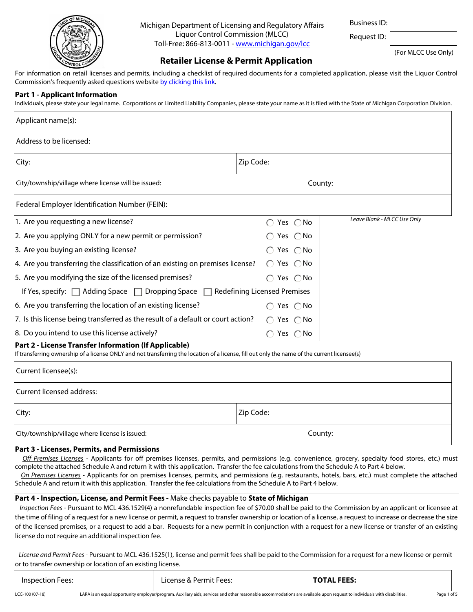

Michigan Department of Licensing and Regulatory Affairs Liquor Control Commission (MLCC) Toll-Free: 866-813-0011 - [www.michigan.gov/lcc](http://www.michigan.gov/lcc)

Business ID:

Request ID:

(For MLCC Use Only)

# **Retailer License & Permit Application**

For information on retail licenses and permits, including a checklist of required documents for a completed application, please visit the Liquor Control Commission's frequently asked questions website [by clicking this link](http://www.michigan.gov/lara/0,4601,7-154-10570_16941-40899--,00.html).

# **Part 1 - Applicant Information**

Individuals, please state your legal name. Corporations or Limited Liability Companies, please state your name as it is filed with the State of Michigan Corporation Division.

| Applicant name(s):                                                                                                                                                                                     |                               |                             |
|--------------------------------------------------------------------------------------------------------------------------------------------------------------------------------------------------------|-------------------------------|-----------------------------|
| Address to be licensed:                                                                                                                                                                                |                               |                             |
| City:                                                                                                                                                                                                  | Zip Code:                     |                             |
| City/township/village where license will be issued:                                                                                                                                                    |                               | County:                     |
| Federal Employer Identification Number (FEIN):                                                                                                                                                         |                               |                             |
| 1. Are you requesting a new license?                                                                                                                                                                   | $\bigcirc$ Yes $\bigcirc$ No  | Leave Blank - MLCC Use Only |
| 2. Are you applying ONLY for a new permit or permission?                                                                                                                                               | Yes $\bigcap$ No              |                             |
| 3. Are you buying an existing license?                                                                                                                                                                 | Yes ∩No                       |                             |
| 4. Are you transferring the classification of an existing on premises license?                                                                                                                         | Yes $\bigcap$ No<br>$\bigcap$ |                             |
| 5. Are you modifying the size of the licensed premises?                                                                                                                                                | $\bigcirc$ Yes $\bigcirc$ No  |                             |
| If Yes, specify: $\Box$ Adding Space $\Box$ Dropping Space $\Box$ Redefining Licensed Premises                                                                                                         |                               |                             |
| 6. Are you transferring the location of an existing license?                                                                                                                                           | $\bigcirc$ Yes $\bigcirc$ No  |                             |
| 7. Is this license being transferred as the result of a default or court action?                                                                                                                       | $\bigcirc$ Yes $\bigcirc$ No  |                             |
| 8. Do you intend to use this license actively?                                                                                                                                                         | $\bigcirc$ Yes $\bigcirc$ No  |                             |
| Part 2 - License Transfer Information (If Applicable)<br>If transferring ownership of a license ONLY and not transferring the location of a license, fill out only the name of the current licensee(s) |                               |                             |
| Current licensee(s):                                                                                                                                                                                   |                               |                             |
| Current licensed address:                                                                                                                                                                              |                               |                             |
| City:                                                                                                                                                                                                  | Zip Code:                     |                             |
| City/township/village where license is issued:                                                                                                                                                         |                               | County:                     |

#### **Part 3 - Licenses, Permits, and Permissions**

*Off Premises Licenses* - Applicants for off premises licenses, permits, and permissions (e.g. convenience, grocery, specialty food stores, etc.) must complete the attached Schedule A and return it with this application. Transfer the fee calculations from the Schedule A to Part 4 below.

*On Premises Licenses* - Applicants for on premises licenses, permits, and permissions (e.g. restaurants, hotels, bars, etc.) must complete the attached Schedule A and return it with this application. Transfer the fee calculations from the Schedule A to Part 4 below.

### **Part 4 - Inspection, License, and Permit Fees -** Make checks payable to **State of Michigan**

*Inspection Fees* - Pursuant to MCL 436.1529(4) a nonrefundable inspection fee of \$70.00 shall be paid to the Commission by an applicant or licensee at the time of filing of a request for a new license or permit, a request to transfer ownership or location of a license, a request to increase or decrease the size of the licensed premises, or a request to add a bar. Requests for a new permit in conjunction with a request for a new license or transfer of an existing license do not require an additional inspection fee.

 *License and Permit Fees* - Pursuant to MCL 436.1525(1), license and permit fees shall be paid to the Commission for a request for a new license or permit or to transfer ownership or location of an existing license.

| Inspection Fees: |                                                                                                                                                                          | License & Permit Fees: | <b>TOTAL FEES:</b> |  |  |
|------------------|--------------------------------------------------------------------------------------------------------------------------------------------------------------------------|------------------------|--------------------|--|--|
| $LCC-100(07-18)$ | LARA is an equal opportunity employer/program, Auxiliary aids, services and other reasonable accommodations are available upon request to individuals with disabilities. |                        |                    |  |  |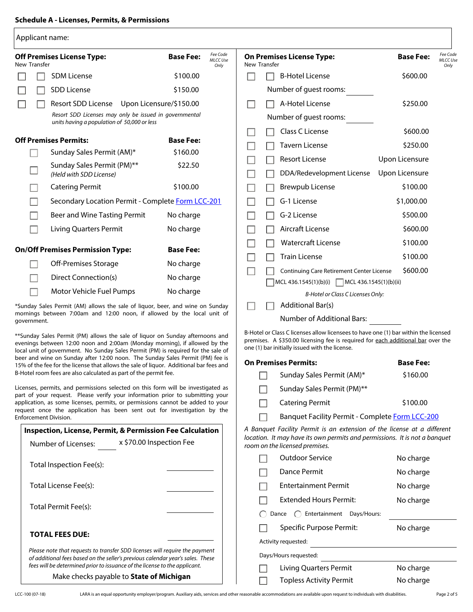| Applicant name:       |                                                                                                                                                                                                                                                  |                                                         |              |                                                                                                                                                                                                                          |                  |                                     |
|-----------------------|--------------------------------------------------------------------------------------------------------------------------------------------------------------------------------------------------------------------------------------------------|---------------------------------------------------------|--------------|--------------------------------------------------------------------------------------------------------------------------------------------------------------------------------------------------------------------------|------------------|-------------------------------------|
| New Transfer          | <b>Off Premises License Type:</b>                                                                                                                                                                                                                | Fee Code<br><b>Base Fee:</b><br><b>MLCC Use</b><br>Only | New Transfer | <b>On Premises License Type:</b>                                                                                                                                                                                         | <b>Base Fee:</b> | Fee Code<br><b>MLCC Use</b><br>Only |
|                       | <b>SDM License</b>                                                                                                                                                                                                                               | \$100.00                                                |              | <b>B-Hotel License</b>                                                                                                                                                                                                   | \$600.00         |                                     |
|                       | <b>SDD License</b>                                                                                                                                                                                                                               | \$150.00                                                |              | Number of guest rooms:                                                                                                                                                                                                   |                  |                                     |
|                       | Resort SDD License Upon Licensure/\$150.00                                                                                                                                                                                                       |                                                         |              | A-Hotel License                                                                                                                                                                                                          | \$250.00         |                                     |
|                       | Resort SDD Licenses may only be issued in governmental                                                                                                                                                                                           |                                                         |              | Number of guest rooms:                                                                                                                                                                                                   |                  |                                     |
|                       | units having a population of 50,000 or less                                                                                                                                                                                                      |                                                         |              | Class C License                                                                                                                                                                                                          | \$600.00         |                                     |
|                       | <b>Off Premises Permits:</b>                                                                                                                                                                                                                     | <b>Base Fee:</b>                                        |              | <b>Tavern License</b>                                                                                                                                                                                                    | \$250.00         |                                     |
|                       | Sunday Sales Permit (AM)*                                                                                                                                                                                                                        | \$160.00                                                |              | <b>Resort License</b>                                                                                                                                                                                                    | Upon Licensure   |                                     |
|                       | Sunday Sales Permit (PM)**<br>(Held with SDD License)                                                                                                                                                                                            | \$22.50                                                 |              | DDA/Redevelopment License                                                                                                                                                                                                | Upon Licensure   |                                     |
|                       | <b>Catering Permit</b>                                                                                                                                                                                                                           | \$100.00                                                |              | <b>Brewpub License</b>                                                                                                                                                                                                   | \$100.00         |                                     |
|                       | Secondary Location Permit - Complete Form LCC-201                                                                                                                                                                                                |                                                         |              | G-1 License                                                                                                                                                                                                              | \$1,000.00       |                                     |
|                       | Beer and Wine Tasting Permit                                                                                                                                                                                                                     | No charge                                               |              | G-2 License                                                                                                                                                                                                              | \$500.00         |                                     |
|                       | <b>Living Quarters Permit</b>                                                                                                                                                                                                                    | No charge                                               |              | Aircraft License                                                                                                                                                                                                         | \$600.00         |                                     |
|                       |                                                                                                                                                                                                                                                  | <b>Base Fee:</b>                                        |              | <b>Watercraft License</b>                                                                                                                                                                                                | \$100.00         |                                     |
|                       | <b>On/Off Premises Permission Type:</b>                                                                                                                                                                                                          |                                                         |              | <b>Train License</b>                                                                                                                                                                                                     | \$100.00         |                                     |
|                       | Off-Premises Storage                                                                                                                                                                                                                             | No charge                                               |              | <b>Continuing Care Retirement Center License</b>                                                                                                                                                                         | \$600.00         |                                     |
|                       | Direct Connection(s)                                                                                                                                                                                                                             | No charge                                               |              | MCL 436.1545(1)(b)(i) MCL 436.1545(1)(b)(ii)                                                                                                                                                                             |                  |                                     |
|                       | Motor Vehicle Fuel Pumps                                                                                                                                                                                                                         | No charge                                               |              | B-Hotel or Class C Licenses Only:                                                                                                                                                                                        |                  |                                     |
|                       | *Sunday Sales Permit (AM) allows the sale of liquor, beer, and wine on Sunday<br>mornings between 7:00am and 12:00 noon, if allowed by the local unit of                                                                                         |                                                         |              | Additional Bar(s)                                                                                                                                                                                                        |                  |                                     |
| government.           |                                                                                                                                                                                                                                                  |                                                         |              | <b>Number of Additional Bars:</b>                                                                                                                                                                                        |                  |                                     |
|                       | **Sunday Sales Permit (PM) allows the sale of liquor on Sunday afternoons and<br>evenings between 12:00 noon and 2:00am (Monday morning), if allowed by the<br>local unit of government. No Sunday Sales Permit (PM) is required for the sale of |                                                         |              | B-Hotel or Class C licenses allow licensees to have one (1) bar within the licensed<br>premises. A \$350.00 licensing fee is required for each additional bar over the<br>one (1) bar initially issued with the license. |                  |                                     |
|                       | beer and wine on Sunday after 12:00 noon. The Sunday Sales Permit (PM) fee is<br>15% of the fee for the license that allows the sale of liquor. Additional bar fees and                                                                          |                                                         |              | <b>On Premises Permits:</b>                                                                                                                                                                                              | <b>Base Fee:</b> |                                     |
|                       | B-Hotel room fees are also calculated as part of the permit fee.                                                                                                                                                                                 |                                                         |              | Sunday Sales Permit (AM)*                                                                                                                                                                                                | \$160.00         |                                     |
|                       | Licenses, permits, and permissions selected on this form will be investigated as<br>part of your request. Please verify your information prior to submitting your                                                                                |                                                         |              | Sunday Sales Permit (PM)**                                                                                                                                                                                               |                  |                                     |
|                       | application, as some licenses, permits, or permissions cannot be added to your<br>request once the application has been sent out for investigation by the                                                                                        |                                                         |              | <b>Catering Permit</b>                                                                                                                                                                                                   | \$100.00         |                                     |
| Enforcement Division. |                                                                                                                                                                                                                                                  |                                                         |              | Banquet Facility Permit - Complete Form LCC-200                                                                                                                                                                          |                  |                                     |
|                       | <b>Inspection, License, Permit, &amp; Permission Fee Calculation</b><br>x \$70.00 Inspection Fee<br>Number of Licenses:                                                                                                                          |                                                         |              | A Banquet Facility Permit is an extension of the license at a different<br>location. It may have its own permits and permissions. It is not a banquet<br>room on the licensed premises.                                  |                  |                                     |
|                       |                                                                                                                                                                                                                                                  |                                                         |              | <b>Outdoor Service</b>                                                                                                                                                                                                   | No charge        |                                     |
|                       | Total Inspection Fee(s):                                                                                                                                                                                                                         |                                                         |              | <b>Dance Permit</b>                                                                                                                                                                                                      | No charge        |                                     |
|                       | Total License Fee(s):                                                                                                                                                                                                                            |                                                         |              | <b>Entertainment Permit</b>                                                                                                                                                                                              | No charge        |                                     |
|                       |                                                                                                                                                                                                                                                  |                                                         |              | <b>Extended Hours Permit:</b>                                                                                                                                                                                            | No charge        |                                     |
|                       | Total Permit Fee(s):                                                                                                                                                                                                                             |                                                         |              | ◯ Entertainment Days/Hours:<br>Dance                                                                                                                                                                                     |                  |                                     |
|                       |                                                                                                                                                                                                                                                  |                                                         |              | <b>Specific Purpose Permit:</b>                                                                                                                                                                                          | No charge        |                                     |
|                       | <b>TOTAL FEES DUE:</b>                                                                                                                                                                                                                           |                                                         |              | Activity requested:                                                                                                                                                                                                      |                  |                                     |
|                       | Please note that requests to transfer SDD licenses will require the payment<br>of additional fees based on the seller's previous calendar year's sales. These                                                                                    |                                                         |              | Days/Hours requested:                                                                                                                                                                                                    |                  |                                     |
|                       | fees will be determined prior to issuance of the license to the applicant.                                                                                                                                                                       |                                                         |              | Living Quarters Permit                                                                                                                                                                                                   | No charge        |                                     |
|                       | Make checks payable to State of Michigan                                                                                                                                                                                                         |                                                         |              | <b>Topless Activity Permit</b>                                                                                                                                                                                           | No charge        |                                     |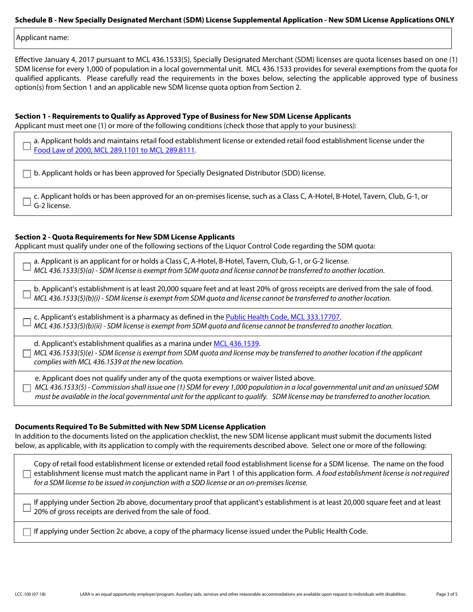#### **Schedule B - New Specially Designated Merchant (SDM) License Supplemental Application - New SDM License Applications ONLY**

Applicant name:

Effective January 4, 2017 pursuant to MCL 436.1533(5), Specially Designated Merchant (SDM) licenses are quota licenses based on one (1) SDM license for every 1,000 of population in a local governmental unit. MCL 436.1533 provides for several exemptions from the quota for qualified applicants. Please carefully read the requirements in the boxes below, selecting the applicable approved type of business option(s) from Section 1 and an applicable new SDM license quota option from Section 2.

### **Section 1 - Requirements to Qualify as Approved Type of Business for New SDM License Applicants**

Applicant must meet one (1) or more of the following conditions (check those that apply to your business):

a. Applicant holds and maintains retail food establishment license or extended retail food establishment license under the [Food Law of 2000, MCL 289.1101 to MCL 289.8111](http://legislature.mi.gov/doc.aspx?mcl-Act-92-of-2000).

 $\Box$  b. Applicant holds or has been approved for Specially Designated Distributor (SDD) license.

c. Applicant holds or has been approved for an on-premises license, such as a Class C, A-Hotel, B-Hotel, Tavern, Club, G-1, or G-2 license.

#### **Section 2 - Quota Requirements for New SDM License Applicants**

Applicant must qualify under one of the following sections of the Liquor Control Code regarding the SDM quota:

b. Applicant's establishment is at least 20,000 square feet and at least 20% of gross receipts are derived from the sale of food. *MCL 436.1533(5)(b)(i) - SDM license is exempt from SDM quota and license cannot be transferred to another location.* a. Applicant is an applicant for or holds a Class C, A-Hotel, B-Hotel, Tavern, Club, G-1, or G-2 license. *MCL 436.1533(5)(a) - SDM license is exempt from SDM quota and license cannot be transferred to another location.* c. Applicant's establishment is a pharmacy as defined in the [Public Health Code, MCL 333.17707](http://legislature.mi.gov/doc.aspx?mcl-333-17707). *MCL 436.1533(5)(b)(ii) - SDM license is exempt from SDM quota and license cannot be transferred to another location.*

d. Applicant's establishment qualifies as a marina under [MCL 436.1539](http://legislature.mi.gov/doc.aspx?mcl-436-1539).

*MCL 436.1533(5)(e) - SDM license is exempt from SDM quota and license may be transferred to another location if the applicant complies with MCL 436.1539 at the new location.*

e. Applicant does not qualify under any of the quota exemptions or waiver listed above.

*MCL 436.1533(5) - Commission shall issue one (1) SDM for every 1,000 population in a local governmental unit and an unissued SDM must be available in the local governmental unit for the applicant to qualify. SDM license may be transferred to another location.*

# **Documents Required To Be Submitted with New SDM License Application**

In addition to the documents listed on the application checklist, the new SDM license applicant must submit the documents listed below, as applicable, with its application to comply with the requirements described above. Select one or more of the following:

Copy of retail food establishment license or extended retail food establishment license for a SDM license. The name on the food establishment license must match the applicant name in Part 1 of this application form. *A food establishment license is not required for a SDM license to be issued in conjunction with a SDD license or an on-premises license.*

If applying under Section 2b above, documentary proof that applicant's establishment is at least 20,000 square feet and at least 20% of gross receipts are derived from the sale of food.

 $\Box$  If applying under Section 2c above, a copy of the pharmacy license issued under the Public Health Code.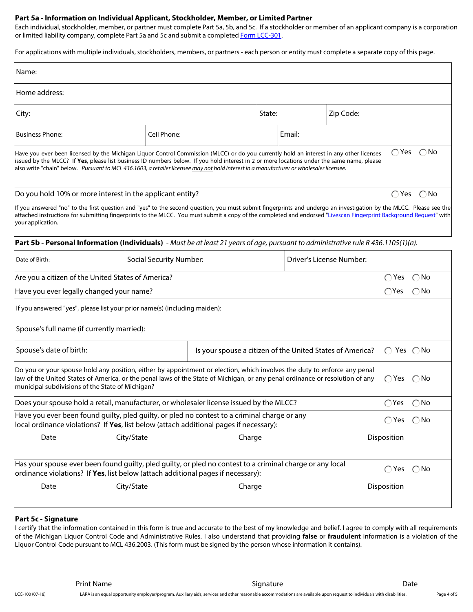#### **Part 5a - Information on Individual Applicant, Stockholder, Member, or Limited Partner**

Each individual, stockholder, member, or partner must complete Part 5a, 5b, and 5c. If a stockholder or member of an applicant company is a corporation or limited liability company, complete Part 5a and 5c and submit a completed [Form LCC-301](http://www.michigan.gov/documents/lara/LCC301_507427_7.pdf).

For applications with multiple individuals, stockholders, members, or partners - each person or entity must complete a separate copy of this page.

| Name:                                                                                                                                                                                                                                                                                                                                                                                                                            |                                |                                                           |        |        |                          |                            |                              |
|----------------------------------------------------------------------------------------------------------------------------------------------------------------------------------------------------------------------------------------------------------------------------------------------------------------------------------------------------------------------------------------------------------------------------------|--------------------------------|-----------------------------------------------------------|--------|--------|--------------------------|----------------------------|------------------------------|
| Home address:                                                                                                                                                                                                                                                                                                                                                                                                                    |                                |                                                           |        |        |                          |                            |                              |
| City:                                                                                                                                                                                                                                                                                                                                                                                                                            |                                |                                                           | State: |        | Zip Code:                |                            |                              |
| <b>Business Phone:</b>                                                                                                                                                                                                                                                                                                                                                                                                           | Cell Phone:                    |                                                           |        | Email: |                          |                            |                              |
| Have you ever been licensed by the Michigan Liquor Control Commission (MLCC) or do you currently hold an interest in any other licenses<br>issued by the MLCC? If Yes, please list business ID numbers below. If you hold interest in 2 or more locations under the same name, please<br>also write "chain" below. Pursuant to MCL 436.1603, a retailer licensee may not hold interest in a manufacturer or wholesaler licensee. |                                |                                                           |        |        |                          |                            | $\bigcirc$ Yes $\bigcirc$ No |
| Do you hold 10% or more interest in the applicant entity?                                                                                                                                                                                                                                                                                                                                                                        |                                |                                                           |        |        |                          |                            | $\bigcap$ Yes $\bigcap$ No   |
| If you answered "no" to the first question and "yes" to the second question, you must submit fingerprints and undergo an investigation by the MLCC. Please see the<br>attached instructions for submitting fingerprints to the MLCC. You must submit a copy of the completed and endorsed "Livescan Fingerprint Background Request" with<br>your application.                                                                    |                                |                                                           |        |        |                          |                            |                              |
| Part 5b - Personal Information (Individuals) - Must be at least 21 years of age, pursuant to administrative rule R 436.1105(1)(a).                                                                                                                                                                                                                                                                                               |                                |                                                           |        |        |                          |                            |                              |
| Date of Birth:                                                                                                                                                                                                                                                                                                                                                                                                                   | <b>Social Security Number:</b> |                                                           |        |        | Driver's License Number: |                            |                              |
| Are you a citizen of the United States of America?                                                                                                                                                                                                                                                                                                                                                                               |                                |                                                           |        |        |                          | $\bigcirc$ Yes             | $\bigcirc$ No                |
| Have you ever legally changed your name?                                                                                                                                                                                                                                                                                                                                                                                         |                                |                                                           |        |        |                          | $\bigcap$ Yes              | $\bigcirc$ No                |
| If you answered "yes", please list your prior name(s) (including maiden):                                                                                                                                                                                                                                                                                                                                                        |                                |                                                           |        |        |                          |                            |                              |
| Spouse's full name (if currently married):                                                                                                                                                                                                                                                                                                                                                                                       |                                |                                                           |        |        |                          |                            |                              |
| Spouse's date of birth:                                                                                                                                                                                                                                                                                                                                                                                                          |                                | Is your spouse a citizen of the United States of America? |        |        |                          | $\bigcap$ Yes $\bigcap$ No |                              |
| Do you or your spouse hold any position, either by appointment or election, which involves the duty to enforce any penal<br>law of the United States of America, or the penal laws of the State of Michigan, or any penal ordinance or resolution of any<br>$\bigcap$ Yes $\bigcirc$ No<br>municipal subdivisions of the State of Michigan?                                                                                      |                                |                                                           |        |        |                          |                            |                              |
| Does your spouse hold a retail, manufacturer, or wholesaler license issued by the MLCC?                                                                                                                                                                                                                                                                                                                                          |                                |                                                           |        |        |                          |                            | $\bigcirc$ Yes $\bigcirc$ No |
| Have you ever been found guilty, pled guilty, or pled no contest to a criminal charge or any<br>local ordinance violations? If Yes, list below (attach additional pages if necessary):                                                                                                                                                                                                                                           |                                |                                                           |        |        |                          | $\bigcap$ Yes $\bigcap$ No |                              |
| Date                                                                                                                                                                                                                                                                                                                                                                                                                             | City/State<br>Charge           |                                                           |        |        |                          | Disposition                |                              |
| Has your spouse ever been found guilty, pled guilty, or pled no contest to a criminal charge or any local<br>ordinance violations? If Yes, list below (attach additional pages if necessary):                                                                                                                                                                                                                                    |                                |                                                           |        |        |                          | $\bigcap$ Yes $\bigcap$ No |                              |
| Date                                                                                                                                                                                                                                                                                                                                                                                                                             | City/State                     | Charge                                                    |        |        |                          | Disposition                |                              |
| Part 5c - Signature                                                                                                                                                                                                                                                                                                                                                                                                              |                                |                                                           |        |        |                          |                            |                              |

I certify that the information contained in this form is true and accurate to the best of my knowledge and belief. I agree to comply with all requirements of the Michigan Liquor Control Code and Administrative Rules. I also understand that providing **false** or **fraudulent** information is a violation of the Liquor Control Code pursuant to MCL 436.2003. (This form must be signed by the person whose information it contains).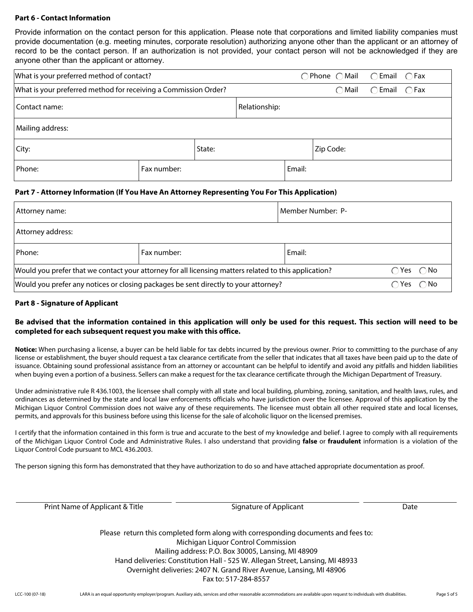#### **Part 6 - Contact Information**

Provide information on the contact person for this application. Please note that corporations and limited liability companies must provide documentation (e.g. meeting minutes, corporate resolution) authorizing anyone other than the applicant or an attorney of record to be the contact person. If an authorization is not provided, your contact person will not be acknowledged if they are anyone other than the applicant or attorney.

| What is your preferred method of contact?                       |  |  |               | $\bigcap$ Phone $\bigcap$ Mail $\bigcap$ Email $\bigcap$ Fax |                                 |  |  |
|-----------------------------------------------------------------|--|--|---------------|--------------------------------------------------------------|---------------------------------|--|--|
| What is your preferred method for receiving a Commission Order? |  |  |               | $\bigcirc$ Mail                                              | $\bigcirc$ Email $\bigcirc$ Fax |  |  |
| Contact name:                                                   |  |  | Relationship: |                                                              |                                 |  |  |
| Mailing address:                                                |  |  |               |                                                              |                                 |  |  |
| State:<br>City:                                                 |  |  |               |                                                              | Zip Code:                       |  |  |
| Phone:<br>Fax number:                                           |  |  |               | Email:                                                       |                                 |  |  |

# **Part 7 - Attorney Information (If You Have An Attorney Representing You For This Application)**

| Attorney name:                                                                                                                      | Member Number: P-                                                                   |        |          |  |  |
|-------------------------------------------------------------------------------------------------------------------------------------|-------------------------------------------------------------------------------------|--------|----------|--|--|
| Attorney address:                                                                                                                   |                                                                                     |        |          |  |  |
| Phone:                                                                                                                              | Fax number:                                                                         | Email: |          |  |  |
| $\bigcap$ Yes $\bigcap$ No<br>Would you prefer that we contact your attorney for all licensing matters related to this application? |                                                                                     |        |          |  |  |
|                                                                                                                                     | Would you prefer any notices or closing packages be sent directly to your attorney? |        | ∩Yes ∩No |  |  |

#### **Part 8 - Signature of Applicant**

# **Be advised that the information contained in this application will only be used for this request. This section will need to be completed for each subsequent request you make with this office.**

**Notice:** When purchasing a license, a buyer can be held liable for tax debts incurred by the previous owner. Prior to committing to the purchase of any license or establishment, the buyer should request a tax clearance certificate from the seller that indicates that all taxes have been paid up to the date of issuance. Obtaining sound professional assistance from an attorney or accountant can be helpful to identify and avoid any pitfalls and hidden liabilities when buying even a portion of a business. Sellers can make a request for the tax clearance certificate through the Michigan Department of Treasury.

Under administrative rule R 436.1003, the licensee shall comply with all state and local building, plumbing, zoning, sanitation, and health laws, rules, and ordinances as determined by the state and local law enforcements officials who have jurisdiction over the licensee. Approval of this application by the Michigan Liquor Control Commission does not waive any of these requirements. The licensee must obtain all other required state and local licenses, permits, and approvals for this business before using this license for the sale of alcoholic liquor on the licensed premises.

I certify that the information contained in this form is true and accurate to the best of my knowledge and belief. I agree to comply with all requirements of the Michigan Liquor Control Code and Administrative Rules. I also understand that providing **false** or **fraudulent** information is a violation of the Liquor Control Code pursuant to MCL 436.2003.

The person signing this form has demonstrated that they have authorization to do so and have attached appropriate documentation as proof.

| Print Name of Applicant & Title | Signature of Applicant | Date |
|---------------------------------|------------------------|------|
|                                 |                        |      |

Please return this completed form along with corresponding documents and fees to: Michigan Liquor Control Commission Mailing address: P.O. Box 30005, Lansing, MI 48909 Hand deliveries: Constitution Hall - 525 W. Allegan Street, Lansing, MI 48933 Overnight deliveries: 2407 N. Grand River Avenue, Lansing, MI 48906 Fax to: 517-284-8557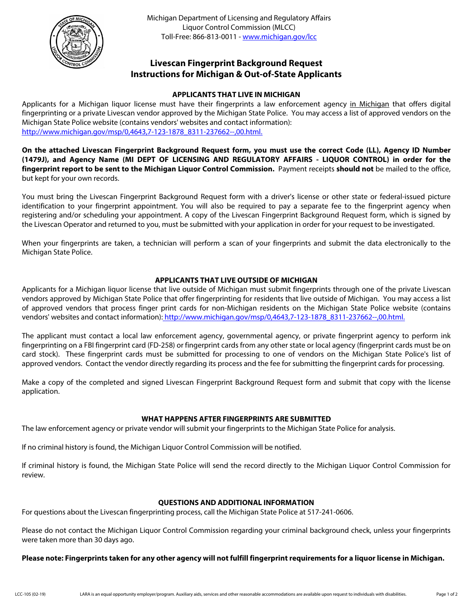

# **Livescan Fingerprint Background Request Instructions for Michigan & Out-of-State Applicants**

# **APPLICANTS THAT LIVE IN MICHIGAN**

Applicants for a Michigan liquor license must have their fingerprints a law enforcement agency in Michigan that offers digital fingerprinting or a private Livescan vendor approved by the Michigan State Police. You may access a list of approved vendors on the Michigan State Police website (contains vendors' websites and contact information): [http://www.michigan.gov/msp/0,4643,7-123-1878\\_8311-237662--,00.html.](http://www.michigan.gov/msp/0,4643,7-123-1878_8311-237662--,00.html)

**On the attached Livescan Fingerprint Background Request form, you must use the correct Code (LL), Agency ID Number (1479J), and Agency Name (MI DEPT OF LICENSING AND REGULATORY AFFAIRS - LIQUOR CONTROL) in order for the fingerprint report to be sent to the Michigan Liquor Control Commission.** Payment receipts **should not** be mailed to the office, but kept for your own records.

You must bring the Livescan Fingerprint Background Request form with a driver's license or other state or federal-issued picture identification to your fingerprint appointment. You will also be required to pay a separate fee to the fingerprint agency when registering and/or scheduling your appointment. A copy of the Livescan Fingerprint Background Request form, which is signed by the Livescan Operator and returned to you, must be submitted with your application in order for your request to be investigated.

When your fingerprints are taken, a technician will perform a scan of your fingerprints and submit the data electronically to the Michigan State Police.

# **APPLICANTS THAT LIVE OUTSIDE OF MICHIGAN**

Applicants for a Michigan liquor license that live outside of Michigan must submit fingerprints through one of the private Livescan vendors approved by Michigan State Police that offer fingerprinting for residents that live outside of Michigan. You may access a list of approved vendors that process finger print cards for non-Michigan residents on the Michigan State Police website (contains vendors' websites and contact information): [http://www.michigan.gov/msp/0,4643,7-123-1878\\_8311-237662--,00.html.](http://www.michigan.gov/msp/0,4643,7-123-1878_8311-237662--,00.html)

The applicant must contact a local law enforcement agency, governmental agency, or private fingerprint agency to perform ink fingerprinting on a FBI fingerprint card (FD-258) or fingerprint cards from any other state or local agency (fingerprint cards must be on card stock). These fingerprint cards must be submitted for processing to one of vendors on the Michigan State Police's list of approved vendors. Contact the vendor directly regarding its process and the fee for submitting the fingerprint cards for processing.

Make a copy of the completed and signed Livescan Fingerprint Background Request form and submit that copy with the license application.

# **WHAT HAPPENS AFTER FINGERPRINTS ARE SUBMITTED**

The law enforcement agency or private vendor will submit your fingerprints to the Michigan State Police for analysis.

If no criminal history is found, the Michigan Liquor Control Commission will be notified.

If criminal history is found, the Michigan State Police will send the record directly to the Michigan Liquor Control Commission for review.

# **QUESTIONS AND ADDITIONAL INFORMATION**

For questions about the Livescan fingerprinting process, call the Michigan State Police at 517-241-0606.

Please do not contact the Michigan Liquor Control Commission regarding your criminal background check, unless your fingerprints were taken more than 30 days ago.

# **Please note: Fingerprints taken for any other agency will not fulfill fingerprint requirements for a liquor license in Michigan.**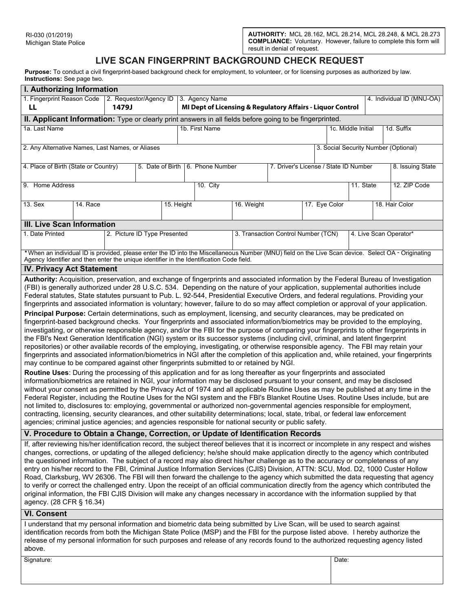# **LIVE SCAN FINGERPRINT BACKGROUND CHECK REQUEST**

**Purpose:** To conduct a civil fingerprint-based background check for employment, to volunteer, or for licensing purposes as authorized by law. **Instructions:** See page two.

| I. Authorizing Information                                                                                                                                                                                                                                                                                                                                                                                                                                                                                                                                                                                                                                                                                                                                                                                                                                                                                                                                                                                                                                                                                                                                                                                                                                                                                                                                                                                                                                                                                                                                                                                                                                                                                                                                                                                                                                                                                                                                                                                                                                                                                                                                                                                                                                                                                                                                                                               |                                                                                          |  |                              |            |  |                                  |                                     |                                       |       |                    |  |                        |
|----------------------------------------------------------------------------------------------------------------------------------------------------------------------------------------------------------------------------------------------------------------------------------------------------------------------------------------------------------------------------------------------------------------------------------------------------------------------------------------------------------------------------------------------------------------------------------------------------------------------------------------------------------------------------------------------------------------------------------------------------------------------------------------------------------------------------------------------------------------------------------------------------------------------------------------------------------------------------------------------------------------------------------------------------------------------------------------------------------------------------------------------------------------------------------------------------------------------------------------------------------------------------------------------------------------------------------------------------------------------------------------------------------------------------------------------------------------------------------------------------------------------------------------------------------------------------------------------------------------------------------------------------------------------------------------------------------------------------------------------------------------------------------------------------------------------------------------------------------------------------------------------------------------------------------------------------------------------------------------------------------------------------------------------------------------------------------------------------------------------------------------------------------------------------------------------------------------------------------------------------------------------------------------------------------------------------------------------------------------------------------------------------------|------------------------------------------------------------------------------------------|--|------------------------------|------------|--|----------------------------------|-------------------------------------|---------------------------------------|-------|--------------------|--|------------------------|
| 1. Fingerprint Reason Code<br>2. Requestor/Agency ID<br>3. Agency Name<br>4. Individual ID (MNU-OA)<br>MI Dept of Licensing & Regulatory Affairs - Liquor Control<br>LL<br>1479J                                                                                                                                                                                                                                                                                                                                                                                                                                                                                                                                                                                                                                                                                                                                                                                                                                                                                                                                                                                                                                                                                                                                                                                                                                                                                                                                                                                                                                                                                                                                                                                                                                                                                                                                                                                                                                                                                                                                                                                                                                                                                                                                                                                                                         |                                                                                          |  |                              |            |  |                                  |                                     |                                       |       |                    |  |                        |
| II. Applicant Information: Type or clearly print answers in all fields before going to be fingerprinted.                                                                                                                                                                                                                                                                                                                                                                                                                                                                                                                                                                                                                                                                                                                                                                                                                                                                                                                                                                                                                                                                                                                                                                                                                                                                                                                                                                                                                                                                                                                                                                                                                                                                                                                                                                                                                                                                                                                                                                                                                                                                                                                                                                                                                                                                                                 |                                                                                          |  |                              |            |  |                                  |                                     |                                       |       |                    |  |                        |
| 1a. Last Name                                                                                                                                                                                                                                                                                                                                                                                                                                                                                                                                                                                                                                                                                                                                                                                                                                                                                                                                                                                                                                                                                                                                                                                                                                                                                                                                                                                                                                                                                                                                                                                                                                                                                                                                                                                                                                                                                                                                                                                                                                                                                                                                                                                                                                                                                                                                                                                            |                                                                                          |  |                              |            |  | 1b. First Name                   |                                     |                                       |       | 1c. Middle Initial |  | 1d. Suffix             |
|                                                                                                                                                                                                                                                                                                                                                                                                                                                                                                                                                                                                                                                                                                                                                                                                                                                                                                                                                                                                                                                                                                                                                                                                                                                                                                                                                                                                                                                                                                                                                                                                                                                                                                                                                                                                                                                                                                                                                                                                                                                                                                                                                                                                                                                                                                                                                                                                          |                                                                                          |  |                              |            |  |                                  |                                     |                                       |       |                    |  |                        |
|                                                                                                                                                                                                                                                                                                                                                                                                                                                                                                                                                                                                                                                                                                                                                                                                                                                                                                                                                                                                                                                                                                                                                                                                                                                                                                                                                                                                                                                                                                                                                                                                                                                                                                                                                                                                                                                                                                                                                                                                                                                                                                                                                                                                                                                                                                                                                                                                          | 2. Any Alternative Names, Last Names, or Aliases<br>3. Social Security Number (Optional) |  |                              |            |  |                                  |                                     |                                       |       |                    |  |                        |
| 4. Place of Birth (State or Country)                                                                                                                                                                                                                                                                                                                                                                                                                                                                                                                                                                                                                                                                                                                                                                                                                                                                                                                                                                                                                                                                                                                                                                                                                                                                                                                                                                                                                                                                                                                                                                                                                                                                                                                                                                                                                                                                                                                                                                                                                                                                                                                                                                                                                                                                                                                                                                     |                                                                                          |  |                              |            |  | 5. Date of Birth 6. Phone Number |                                     | 7. Driver's License / State ID Number |       |                    |  | 8. Issuing State       |
| 9. Home Address                                                                                                                                                                                                                                                                                                                                                                                                                                                                                                                                                                                                                                                                                                                                                                                                                                                                                                                                                                                                                                                                                                                                                                                                                                                                                                                                                                                                                                                                                                                                                                                                                                                                                                                                                                                                                                                                                                                                                                                                                                                                                                                                                                                                                                                                                                                                                                                          |                                                                                          |  |                              |            |  | 10. City                         |                                     |                                       |       | 11. State          |  | 12. ZIP Code           |
| 13. Sex                                                                                                                                                                                                                                                                                                                                                                                                                                                                                                                                                                                                                                                                                                                                                                                                                                                                                                                                                                                                                                                                                                                                                                                                                                                                                                                                                                                                                                                                                                                                                                                                                                                                                                                                                                                                                                                                                                                                                                                                                                                                                                                                                                                                                                                                                                                                                                                                  | 14. Race                                                                                 |  |                              | 15. Height |  |                                  | 16. Weight                          | 17. Eye Color                         |       |                    |  | 18. Hair Color         |
| <b>III. Live Scan Information</b>                                                                                                                                                                                                                                                                                                                                                                                                                                                                                                                                                                                                                                                                                                                                                                                                                                                                                                                                                                                                                                                                                                                                                                                                                                                                                                                                                                                                                                                                                                                                                                                                                                                                                                                                                                                                                                                                                                                                                                                                                                                                                                                                                                                                                                                                                                                                                                        |                                                                                          |  |                              |            |  |                                  |                                     |                                       |       |                    |  |                        |
| 1. Date Printed                                                                                                                                                                                                                                                                                                                                                                                                                                                                                                                                                                                                                                                                                                                                                                                                                                                                                                                                                                                                                                                                                                                                                                                                                                                                                                                                                                                                                                                                                                                                                                                                                                                                                                                                                                                                                                                                                                                                                                                                                                                                                                                                                                                                                                                                                                                                                                                          |                                                                                          |  | 2. Picture ID Type Presented |            |  |                                  | 3. Transaction Control Number (TCN) |                                       |       |                    |  | 4. Live Scan Operator* |
| *When an individual ID is provided, please enter the ID into the Miscellaneous Number (MNU) field on the Live Scan device. Select OA - Originating<br>Agency Identifier and then enter the unique identifier in the Identification Code field.                                                                                                                                                                                                                                                                                                                                                                                                                                                                                                                                                                                                                                                                                                                                                                                                                                                                                                                                                                                                                                                                                                                                                                                                                                                                                                                                                                                                                                                                                                                                                                                                                                                                                                                                                                                                                                                                                                                                                                                                                                                                                                                                                           |                                                                                          |  |                              |            |  |                                  |                                     |                                       |       |                    |  |                        |
| <b>IV. Privacy Act Statement</b>                                                                                                                                                                                                                                                                                                                                                                                                                                                                                                                                                                                                                                                                                                                                                                                                                                                                                                                                                                                                                                                                                                                                                                                                                                                                                                                                                                                                                                                                                                                                                                                                                                                                                                                                                                                                                                                                                                                                                                                                                                                                                                                                                                                                                                                                                                                                                                         |                                                                                          |  |                              |            |  |                                  |                                     |                                       |       |                    |  |                        |
| Authority: Acquisition, preservation, and exchange of fingerprints and associated information by the Federal Bureau of Investigation<br>(FBI) is generally authorized under 28 U.S.C. 534. Depending on the nature of your application, supplemental authorities include<br>Federal statutes, State statutes pursuant to Pub. L. 92-544, Presidential Executive Orders, and federal regulations. Providing your<br>fingerprints and associated information is voluntary; however, failure to do so may affect completion or approval of your application.<br>Principal Purpose: Certain determinations, such as employment, licensing, and security clearances, may be predicated on<br>fingerprint-based background checks. Your fingerprints and associated information/biometrics may be provided to the employing,<br>investigating, or otherwise responsible agency, and/or the FBI for the purpose of comparing your fingerprints to other fingerprints in<br>the FBI's Next Generation Identification (NGI) system or its successor systems (including civil, criminal, and latent fingerprint<br>repositories) or other available records of the employing, investigating, or otherwise responsible agency. The FBI may retain your<br>fingerprints and associated information/biometrics in NGI after the completion of this application and, while retained, your fingerprints<br>may continue to be compared against other fingerprints submitted to or retained by NGI.<br>Routine Uses: During the processing of this application and for as long thereafter as your fingerprints and associated<br>information/biometrics are retained in NGI, your information may be disclosed pursuant to your consent, and may be disclosed<br>without your consent as permitted by the Privacy Act of 1974 and all applicable Routine Uses as may be published at any time in the<br>Federal Register, including the Routine Uses for the NGI system and the FBI's Blanket Routine Uses. Routine Uses include, but are<br>not limited to, disclosures to: employing, governmental or authorized non-governmental agencies responsible for employment,<br>contracting, licensing, security clearances, and other suitability determinations; local, state, tribal, or federal law enforcement<br>agencies; criminal justice agencies; and agencies responsible for national security or public safety. |                                                                                          |  |                              |            |  |                                  |                                     |                                       |       |                    |  |                        |
| V. Procedure to Obtain a Change, Correction, or Update of Identification Records                                                                                                                                                                                                                                                                                                                                                                                                                                                                                                                                                                                                                                                                                                                                                                                                                                                                                                                                                                                                                                                                                                                                                                                                                                                                                                                                                                                                                                                                                                                                                                                                                                                                                                                                                                                                                                                                                                                                                                                                                                                                                                                                                                                                                                                                                                                         |                                                                                          |  |                              |            |  |                                  |                                     |                                       |       |                    |  |                        |
| If, after reviewing his/her identification record, the subject thereof believes that it is incorrect or incomplete in any respect and wishes<br>changes, corrections, or updating of the alleged deficiency; he/she should make application directly to the agency which contributed<br>the questioned information. The subject of a record may also direct his/her challenge as to the accuracy or completeness of any<br>entry on his/her record to the FBI, Criminal Justice Information Services (CJIS) Division, ATTN: SCU, Mod. D2, 1000 Custer Hollow<br>Road, Clarksburg, WV 26306. The FBI will then forward the challenge to the agency which submitted the data requesting that agency<br>to verify or correct the challenged entry. Upon the receipt of an official communication directly from the agency which contributed the<br>original information, the FBI CJIS Division will make any changes necessary in accordance with the information supplied by that<br>agency. (28 CFR § 16.34)                                                                                                                                                                                                                                                                                                                                                                                                                                                                                                                                                                                                                                                                                                                                                                                                                                                                                                                                                                                                                                                                                                                                                                                                                                                                                                                                                                                              |                                                                                          |  |                              |            |  |                                  |                                     |                                       |       |                    |  |                        |
| <b>VI. Consent</b>                                                                                                                                                                                                                                                                                                                                                                                                                                                                                                                                                                                                                                                                                                                                                                                                                                                                                                                                                                                                                                                                                                                                                                                                                                                                                                                                                                                                                                                                                                                                                                                                                                                                                                                                                                                                                                                                                                                                                                                                                                                                                                                                                                                                                                                                                                                                                                                       |                                                                                          |  |                              |            |  |                                  |                                     |                                       |       |                    |  |                        |
| I understand that my personal information and biometric data being submitted by Live Scan, will be used to search against<br>identification records from both the Michigan State Police (MSP) and the FBI for the purpose listed above. I hereby authorize the<br>release of my personal information for such purposes and release of any records found to the authorized requesting agency listed<br>above.                                                                                                                                                                                                                                                                                                                                                                                                                                                                                                                                                                                                                                                                                                                                                                                                                                                                                                                                                                                                                                                                                                                                                                                                                                                                                                                                                                                                                                                                                                                                                                                                                                                                                                                                                                                                                                                                                                                                                                                             |                                                                                          |  |                              |            |  |                                  |                                     |                                       |       |                    |  |                        |
| Signature:                                                                                                                                                                                                                                                                                                                                                                                                                                                                                                                                                                                                                                                                                                                                                                                                                                                                                                                                                                                                                                                                                                                                                                                                                                                                                                                                                                                                                                                                                                                                                                                                                                                                                                                                                                                                                                                                                                                                                                                                                                                                                                                                                                                                                                                                                                                                                                                               |                                                                                          |  |                              |            |  |                                  |                                     |                                       | Date: |                    |  |                        |